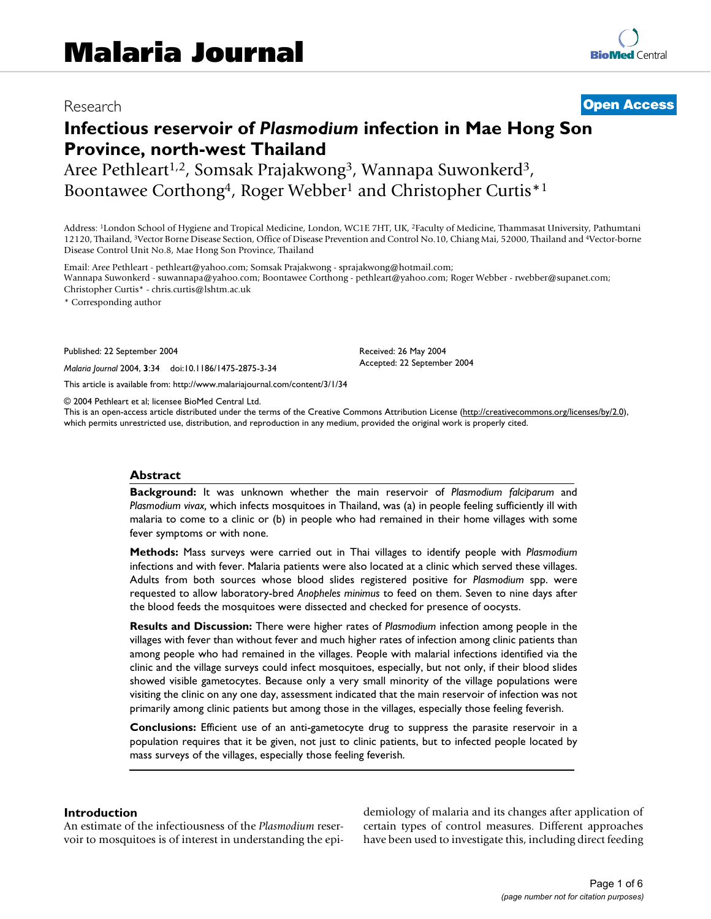# Research **[Open Access](http://www.biomedcentral.com/info/about/charter/)**

# **Infectious reservoir of** *Plasmodium* **infection in Mae Hong Son Province, north-west Thailand**

Aree Pethleart<sup>1,2</sup>, Somsak Prajakwong<sup>3</sup>, Wannapa Suwonkerd<sup>3</sup>, Boontawee Corthong<sup>4</sup>, Roger Webber<sup>1</sup> and Christopher Curtis<sup>\*1</sup>

Address: 1London School of Hygiene and Tropical Medicine, London, WC1E 7HT, UK, 2Faculty of Medicine, Thammasat University, Pathumtani 12120, Thailand, 3Vector Borne Disease Section, Office of Disease Prevention and Control No.10, Chiang Mai, 52000, Thailand and 4Vector-borne Disease Control Unit No.8, Mae Hong Son Province, Thailand

Email: Aree Pethleart - pethleart@yahoo.com; Somsak Prajakwong - sprajakwong@hotmail.com; Wannapa Suwonkerd - suwannapa@yahoo.com; Boontawee Corthong - pethleart@yahoo.com; Roger Webber - rwebber@supanet.com; Christopher Curtis\* - chris.curtis@lshtm.ac.uk

\* Corresponding author

Published: 22 September 2004

*Malaria Journal* 2004, **3**:34 doi:10.1186/1475-2875-3-34

[This article is available from: http://www.malariajournal.com/content/3/1/34](http://www.malariajournal.com/content/3/1/34)

© 2004 Pethleart et al; licensee BioMed Central Ltd.

This is an open-access article distributed under the terms of the Creative Commons Attribution License (<http://creativecommons.org/licenses/by/2.0>), which permits unrestricted use, distribution, and reproduction in any medium, provided the original work is properly cited.

Received: 26 May 2004 Accepted: 22 September 2004

# **Abstract**

**Background:** It was unknown whether the main reservoir of *Plasmodium falciparum* and *Plasmodium vivax,* which infects mosquitoes in Thailand, was (a) in people feeling sufficiently ill with malaria to come to a clinic or (b) in people who had remained in their home villages with some fever symptoms or with none.

**Methods:** Mass surveys were carried out in Thai villages to identify people with *Plasmodium* infections and with fever. Malaria patients were also located at a clinic which served these villages. Adults from both sources whose blood slides registered positive for *Plasmodium* spp. were requested to allow laboratory-bred *Anopheles minimus* to feed on them. Seven to nine days after the blood feeds the mosquitoes were dissected and checked for presence of oocysts.

**Results and Discussion:** There were higher rates of *Plasmodium* infection among people in the villages with fever than without fever and much higher rates of infection among clinic patients than among people who had remained in the villages. People with malarial infections identified via the clinic and the village surveys could infect mosquitoes, especially, but not only, if their blood slides showed visible gametocytes. Because only a very small minority of the village populations were visiting the clinic on any one day, assessment indicated that the main reservoir of infection was not primarily among clinic patients but among those in the villages, especially those feeling feverish.

**Conclusions:** Efficient use of an anti-gametocyte drug to suppress the parasite reservoir in a population requires that it be given, not just to clinic patients, but to infected people located by mass surveys of the villages, especially those feeling feverish.

# **Introduction**

An estimate of the infectiousness of the *Plasmodium* reservoir to mosquitoes is of interest in understanding the epidemiology of malaria and its changes after application of certain types of control measures. Different approaches have been used to investigate this, including direct feeding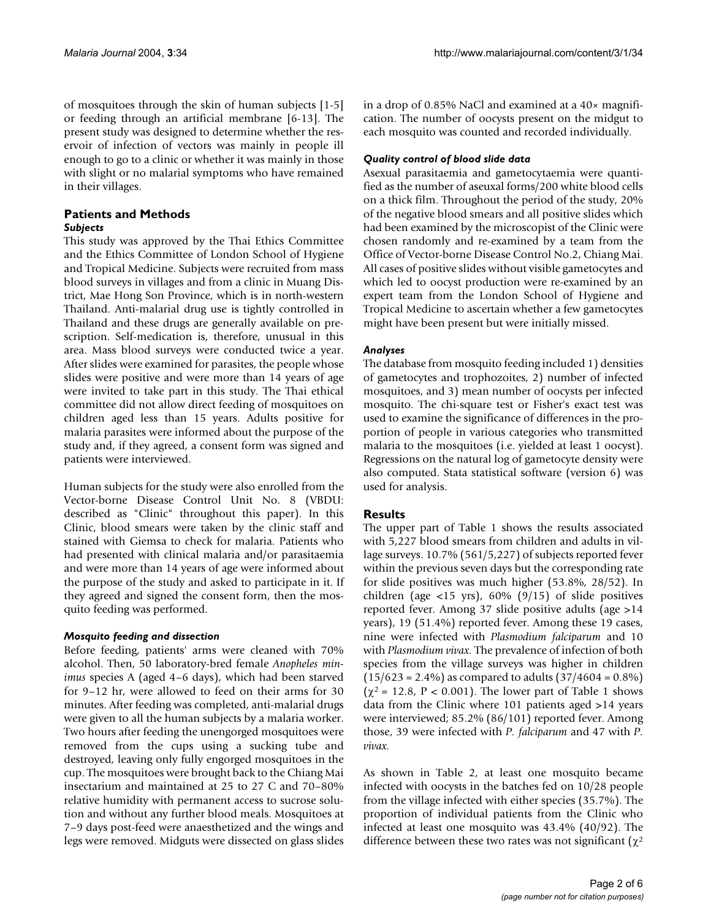of mosquitoes through the skin of human subjects [1-5] or feeding through an artificial membrane [6-13]. The present study was designed to determine whether the reservoir of infection of vectors was mainly in people ill enough to go to a clinic or whether it was mainly in those with slight or no malarial symptoms who have remained in their villages.

# **Patients and Methods** *Subjects*

This study was approved by the Thai Ethics Committee and the Ethics Committee of London School of Hygiene and Tropical Medicine. Subjects were recruited from mass blood surveys in villages and from a clinic in Muang District, Mae Hong Son Province, which is in north-western Thailand. Anti-malarial drug use is tightly controlled in Thailand and these drugs are generally available on prescription. Self-medication is, therefore, unusual in this area. Mass blood surveys were conducted twice a year. After slides were examined for parasites, the people whose slides were positive and were more than 14 years of age were invited to take part in this study. The Thai ethical committee did not allow direct feeding of mosquitoes on children aged less than 15 years. Adults positive for malaria parasites were informed about the purpose of the study and, if they agreed, a consent form was signed and patients were interviewed.

Human subjects for the study were also enrolled from the Vector-borne Disease Control Unit No. 8 (VBDU: described as "Clinic" throughout this paper). In this Clinic, blood smears were taken by the clinic staff and stained with Giemsa to check for malaria. Patients who had presented with clinical malaria and/or parasitaemia and were more than 14 years of age were informed about the purpose of the study and asked to participate in it. If they agreed and signed the consent form, then the mosquito feeding was performed.

# *Mosquito feeding and dissection*

Before feeding, patients' arms were cleaned with 70% alcohol. Then, 50 laboratory-bred female *Anopheles minimus* species A (aged 4–6 days), which had been starved for 9–12 hr, were allowed to feed on their arms for 30 minutes. After feeding was completed, anti-malarial drugs were given to all the human subjects by a malaria worker. Two hours after feeding the unengorged mosquitoes were removed from the cups using a sucking tube and destroyed, leaving only fully engorged mosquitoes in the cup. The mosquitoes were brought back to the Chiang Mai insectarium and maintained at 25 to 27 C and 70–80% relative humidity with permanent access to sucrose solution and without any further blood meals. Mosquitoes at 7–9 days post-feed were anaesthetized and the wings and legs were removed. Midguts were dissected on glass slides in a drop of 0.85% NaCl and examined at a 40× magnification. The number of oocysts present on the midgut to each mosquito was counted and recorded individually.

# *Quality control of blood slide data*

Asexual parasitaemia and gametocytaemia were quantified as the number of aseuxal forms/200 white blood cells on a thick film. Throughout the period of the study, 20% of the negative blood smears and all positive slides which had been examined by the microscopist of the Clinic were chosen randomly and re-examined by a team from the Office of Vector-borne Disease Control No.2, Chiang Mai. All cases of positive slides without visible gametocytes and which led to oocyst production were re-examined by an expert team from the London School of Hygiene and Tropical Medicine to ascertain whether a few gametocytes might have been present but were initially missed.

# *Analyses*

The database from mosquito feeding included 1) densities of gametocytes and trophozoites, 2) number of infected mosquitoes, and 3) mean number of oocysts per infected mosquito. The chi-square test or Fisher's exact test was used to examine the significance of differences in the proportion of people in various categories who transmitted malaria to the mosquitoes (i.e. yielded at least 1 oocyst). Regressions on the natural log of gametocyte density were also computed. Stata statistical software (version 6) was used for analysis.

# **Results**

The upper part of Table [1](#page-2-0) shows the results associated with 5,227 blood smears from children and adults in village surveys. 10.7% (561/5,227) of subjects reported fever within the previous seven days but the corresponding rate for slide positives was much higher (53.8%, 28/52). In children (age <15 yrs),  $60\%$  (9/15) of slide positives reported fever. Among 37 slide positive adults (age >14 years), 19 (51.4%) reported fever. Among these 19 cases, nine were infected with *Plasmodium falciparum* and 10 with *Plasmodium vivax.* The prevalence of infection of both species from the village surveys was higher in children  $(15/623 = 2.4\%)$  as compared to adults  $(37/4604 = 0.8\%)$  $(\chi^2 = 12.8, P < 0.001)$  $(\chi^2 = 12.8, P < 0.001)$  $(\chi^2 = 12.8, P < 0.001)$ . The lower part of Table 1 shows data from the Clinic where 101 patients aged >14 years were interviewed; 85.2% (86/101) reported fever. Among those, 39 were infected with *P. falciparum* and 47 with *P. vivax.*

As shown in Table [2](#page-2-1), at least one mosquito became infected with oocysts in the batches fed on 10/28 people from the village infected with either species (35.7%). The proportion of individual patients from the Clinic who infected at least one mosquito was 43.4% (40/92). The difference between these two rates was not significant ( $\chi^2$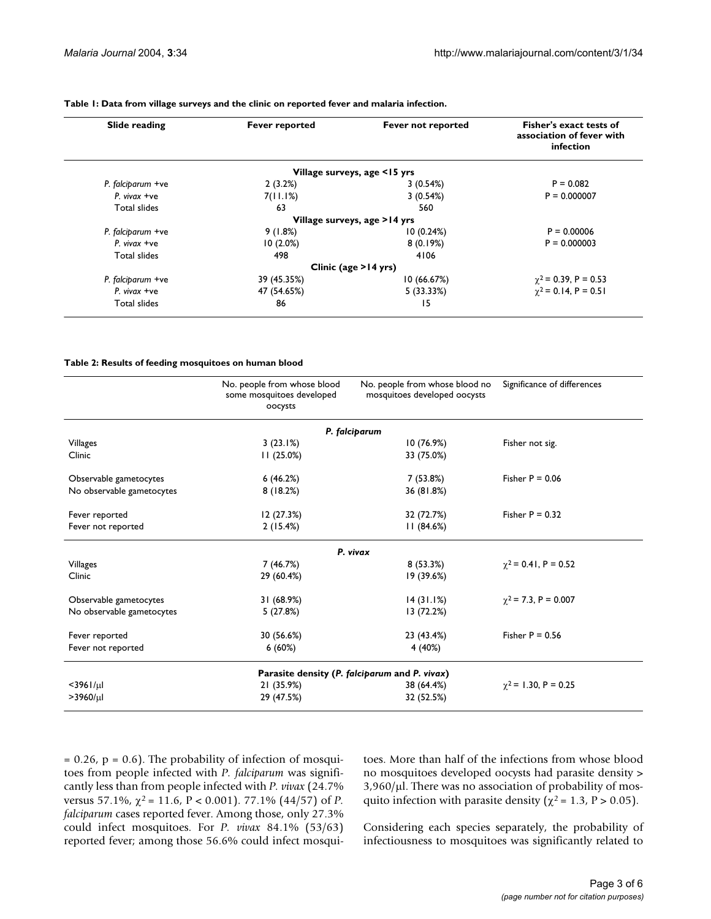| Slide reading     | <b>Fever reported</b> | Fever not reported           | Fisher's exact tests of<br>association of fever with<br>infection |
|-------------------|-----------------------|------------------------------|-------------------------------------------------------------------|
|                   |                       | Village surveys, age <15 yrs |                                                                   |
| P. falciparum +ve | 2(3.2%)               | 3(0.54%)                     | $P = 0.082$                                                       |
| $P.$ vivax $+ve$  | 7(11.1%)              | 3(0.54%)                     | $P = 0.000007$                                                    |
| Total slides      | 63                    | 560                          |                                                                   |
|                   |                       | Village surveys, age >14 yrs |                                                                   |
| P. falciparum +ve | 9(1.8%)               | 10(0.24%)                    | $P = 0.00006$                                                     |
| P. vivax +ve      | 10(2.0%)              | 8(0.19%)                     | $P = 0.000003$                                                    |
| Total slides      | 498                   | 4106                         |                                                                   |
|                   |                       | Clinic (age $>14$ yrs)       |                                                                   |
| P. falciparum +ve | 39 (45.35%)           | 10(66.67%)                   | $\gamma^2$ = 0.39, P = 0.53                                       |
| P. vivax +ve      | 47 (54.65%)           | 5(33.33%)                    | $\gamma^2$ = 0.14, P = 0.51                                       |
| Total slides      | 86                    | 15                           |                                                                   |

#### <span id="page-2-0"></span>**Table 1: Data from village surveys and the clinic on reported fever and malaria infection.**

#### <span id="page-2-1"></span>**Table 2: Results of feeding mosquitoes on human blood**

|                                               | No. people from whose blood<br>some mosquitoes developed<br>oocysts | No. people from whose blood no<br>mosquitoes developed oocysts | Significance of differences |  |  |
|-----------------------------------------------|---------------------------------------------------------------------|----------------------------------------------------------------|-----------------------------|--|--|
| P. falciparum                                 |                                                                     |                                                                |                             |  |  |
| Villages                                      | 3(23.1%)                                                            | 10(76.9%)                                                      | Fisher not sig.             |  |  |
| Clinic                                        | 11(25.0%)                                                           | 33 (75.0%)                                                     |                             |  |  |
| Observable gametocytes                        | 6(46.2%)                                                            | 7 (53.8%)                                                      | Fisher $P = 0.06$           |  |  |
| No observable gametocytes                     | 8(18.2%)                                                            | 36 (81.8%)                                                     |                             |  |  |
| Fever reported                                | 12 (27.3%)                                                          | 32 (72.7%)                                                     | Fisher $P = 0.32$           |  |  |
| Fever not reported                            | 2(15.4%)                                                            | 11(84.6%)                                                      |                             |  |  |
| P. vivax                                      |                                                                     |                                                                |                             |  |  |
| Villages                                      | 7 (46.7%)                                                           | 8(53.3%)                                                       | $\gamma^2$ = 0.41, P = 0.52 |  |  |
| Clinic                                        | 29 (60.4%)                                                          | 19 (39.6%)                                                     |                             |  |  |
| Observable gametocytes                        | 31 (68.9%)                                                          | 14(31.1%)                                                      | $\gamma^2$ = 7.3, P = 0.007 |  |  |
| No observable gametocytes                     | 5(27.8%)                                                            | 13 (72.2%)                                                     |                             |  |  |
| Fever reported                                | 30 (56.6%)                                                          | 23 (43.4%)                                                     | Fisher $P = 0.56$           |  |  |
| Fever not reported                            | 6(60%)                                                              | 4 (40%)                                                        |                             |  |  |
| Parasite density (P. falciparum and P. vivax) |                                                                     |                                                                |                             |  |  |
| $<$ 3961/µl                                   | 21 (35.9%)                                                          | 38 (64.4%)                                                     | $\gamma^2$ = 1.30, P = 0.25 |  |  |
| $>3960/\mu$                                   | 29 (47.5%)                                                          | 32 (52.5%)                                                     |                             |  |  |

 $= 0.26$ ,  $p = 0.6$ ). The probability of infection of mosquitoes from people infected with *P. falciparum* was significantly less than from people infected with *P. vivax* (24.7% versus 57.1%, χ2 = 11.6, P < 0.001). 77.1% (44/57) of *P. falciparum* cases reported fever. Among those, only 27.3% could infect mosquitoes. For *P. vivax* 84.1% (53/63) reported fever; among those 56.6% could infect mosquitoes. More than half of the infections from whose blood no mosquitoes developed oocysts had parasite density >  $3,960/\mu$ l. There was no association of probability of mosquito infection with parasite density ( $\chi^2$  = 1.3, P > 0.05).

Considering each species separately, the probability of infectiousness to mosquitoes was significantly related to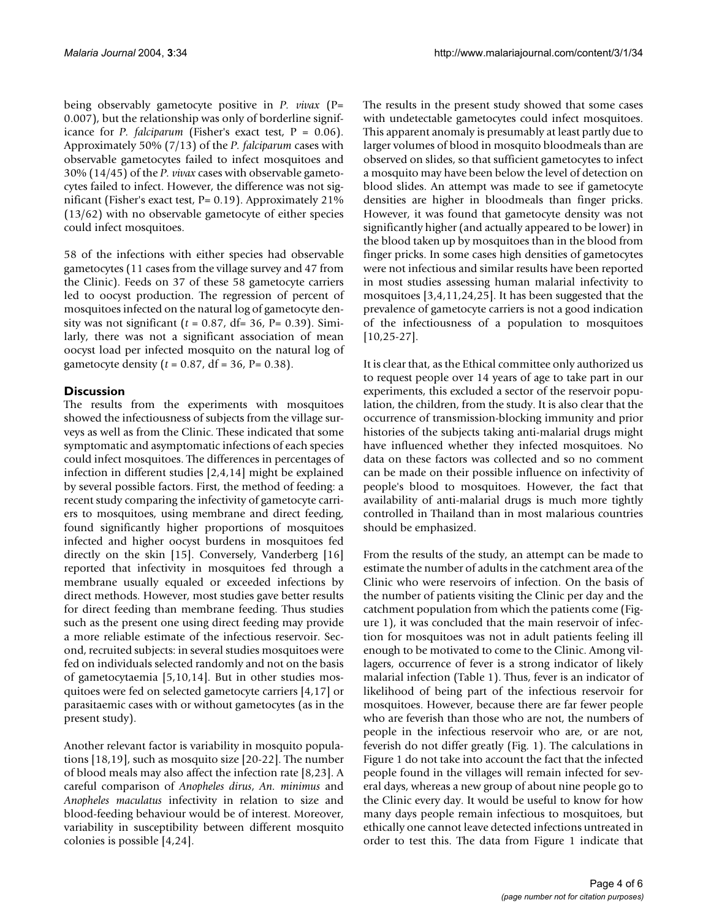being observably gametocyte positive in *P. vivax* (P= 0.007), but the relationship was only of borderline significance for *P. falciparum* (Fisher's exact test, P *=* 0.06). Approximately 50% (7/13) of the *P. falciparum* cases with observable gametocytes failed to infect mosquitoes and 30% (14/45) of the *P. vivax* cases with observable gametocytes failed to infect. However, the difference was not significant (Fisher's exact test, P= 0.19). Approximately 21% (13/62) with no observable gametocyte of either species could infect mosquitoes.

58 of the infections with either species had observable gametocytes (11 cases from the village survey and 47 from the Clinic). Feeds on 37 of these 58 gametocyte carriers led to oocyst production. The regression of percent of mosquitoes infected on the natural log of gametocyte density was not significant ( $t = 0.87$ , df= 36, P= 0.39). Similarly, there was not a significant association of mean oocyst load per infected mosquito on the natural log of gametocyte density (*t* = 0.87, df = 36, P= 0.38).

# **Discussion**

The results from the experiments with mosquitoes showed the infectiousness of subjects from the village surveys as well as from the Clinic. These indicated that some symptomatic and asymptomatic infections of each species could infect mosquitoes. The differences in percentages of infection in different studies [2[,4,](#page-5-0)14] might be explained by several possible factors. First, the method of feeding: a recent study comparing the infectivity of gametocyte carriers to mosquitoes, using membrane and direct feeding, found significantly higher proportions of mosquitoes infected and higher oocyst burdens in mosquitoes fed directly on the skin [15]. Conversely, Vanderberg [16] reported that infectivity in mosquitoes fed through a membrane usually equaled or exceeded infections by direct methods. However, most studies gave better results for direct feeding than membrane feeding. Thus studies such as the present one using direct feeding may provide a more reliable estimate of the infectious reservoir. Second, recruited subjects: in several studies mosquitoes were fed on individuals selected randomly and not on the basis of gametocytaemia [5[,10](#page-5-1),14]. But in other studies mosquitoes were fed on selected gametocyte carriers [\[4,](#page-5-0)17] or parasitaemic cases with or without gametocytes (as in the present study).

Another relevant factor is variability in mosquito populations [18[,19](#page-5-2)], such as mosquito size [[20](#page-5-3)-22]. The number of blood meals may also affect the infection rate [[8](#page-5-4),23]. A careful comparison of *Anopheles dirus*, *An. minimus* and *Anopheles maculatus* infectivity in relation to size and blood-feeding behaviour would be of interest. Moreover, variability in susceptibility between different mosquito colonies is possible [[4](#page-5-0),24].

The results in the present study showed that some cases with undetectable gametocytes could infect mosquitoes. This apparent anomaly is presumably at least partly due to larger volumes of blood in mosquito bloodmeals than are observed on slides, so that sufficient gametocytes to infect a mosquito may have been below the level of detection on blood slides. An attempt was made to see if gametocyte densities are higher in bloodmeals than finger pricks. However, it was found that gametocyte density was not significantly higher (and actually appeared to be lower) in the blood taken up by mosquitoes than in the blood from finger pricks. In some cases high densities of gametocytes were not infectious and similar results have been reported in most studies assessing human malarial infectivity to mosquitoes [\[3,](#page-5-5)[4](#page-5-0)[,11,](#page-5-6)24,25]. It has been suggested that the prevalence of gametocyte carriers is not a good indication of the infectiousness of a population to mosquitoes [[10](#page-5-1),25-27].

It is clear that, as the Ethical committee only authorized us to request people over 14 years of age to take part in our experiments, this excluded a sector of the reservoir population, the children, from the study. It is also clear that the occurrence of transmission-blocking immunity and prior histories of the subjects taking anti-malarial drugs might have influenced whether they infected mosquitoes. No data on these factors was collected and so no comment can be made on their possible influence on infectivity of people's blood to mosquitoes. However, the fact that availability of anti-malarial drugs is much more tightly controlled in Thailand than in most malarious countries should be emphasized.

From the results of the study, an attempt can be made to estimate the number of adults in the catchment area of the Clinic who were reservoirs of infection. On the basis of the number of patients visiting the Clinic per day and the catchment population from which the patients come (Figure 1), it was concluded that the main reservoir of infection for mosquitoes was not in adult patients feeling ill enough to be motivated to come to the Clinic. Among villagers, occurrence of fever is a strong indicator of likely malarial infection (Table [1](#page-2-0)). Thus, fever is an indicator of likelihood of being part of the infectious reservoir for mosquitoes. However, because there are far fewer people who are feverish than those who are not, the numbers of people in the infectious reservoir who are, or are not, feverish do not differ greatly (Fig. 1). The calculations in Figure 1 do not take into account the fact that the infected people found in the villages will remain infected for several days, whereas a new group of about nine people go to the Clinic every day. It would be useful to know for how many days people remain infectious to mosquitoes, but ethically one cannot leave detected infections untreated in order to test this. The data from Figure 1 indicate that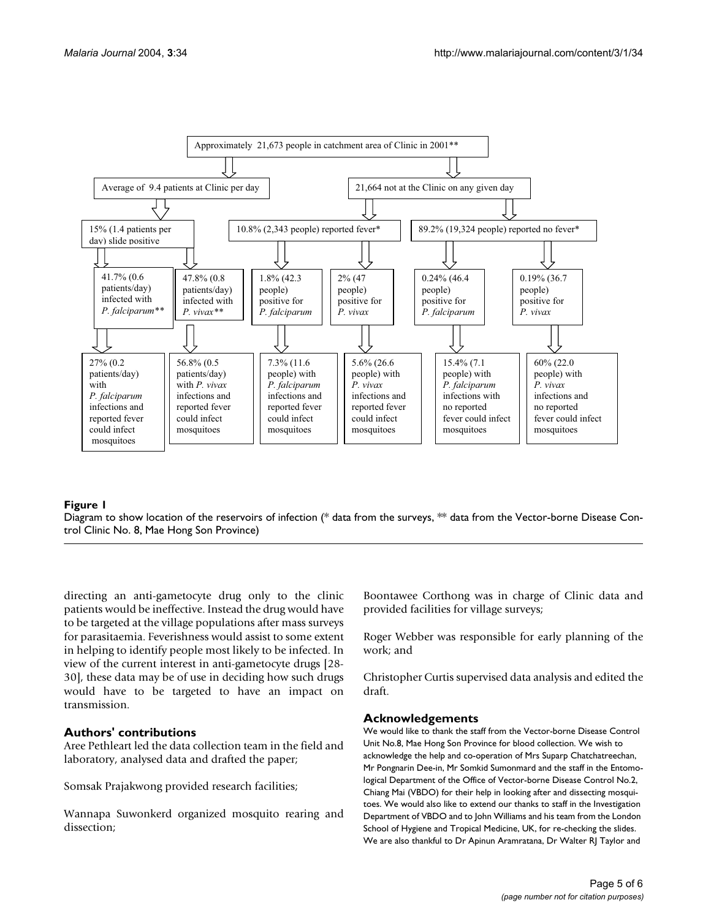

Diagram to show location of the reservoirs trol Clinic No. 8, Mae Hong Son Province) **Figure 1** of infection (\* data from the surveys, \*\* data from the Vector-borne Disease Con-Diagram to show location of the reservoirs of infection (\* data from the surveys, \*\* data from the Vector-borne Disease Control Clinic No. 8, Mae Hong Son Province)

directing an anti-gametocyte drug only to the clinic patients would be ineffective. Instead the drug would have to be targeted at the village populations after mass surveys for parasitaemia. Feverishness would assist to some extent in helping to identify people most likely to be infected. In view of the current interest in anti-gametocyte drugs [28- 30], these data may be of use in deciding how such drugs would have to be targeted to have an impact on transmission.

# **Authors' contributions**

Aree Pethleart led the data collection team in the field and laboratory, analysed data and drafted the paper;

Somsak Prajakwong provided research facilities;

Wannapa Suwonkerd organized mosquito rearing and dissection;

Boontawee Corthong was in charge of Clinic data and provided facilities for village surveys;

Roger Webber was responsible for early planning of the work; and

Christopher Curtis supervised data analysis and edited the draft.

# **Acknowledgements**

We would like to thank the staff from the Vector-borne Disease Control Unit No.8, Mae Hong Son Province for blood collection. We wish to acknowledge the help and co-operation of Mrs Suparp Chatchatreechan, Mr Pongnarin Dee-in, Mr Somkid Sumonmard and the staff in the Entomological Department of the Office of Vector-borne Disease Control No.2, Chiang Mai (VBDO) for their help in looking after and dissecting mosquitoes. We would also like to extend our thanks to staff in the Investigation Department of VBDO and to John Williams and his team from the London School of Hygiene and Tropical Medicine, UK, for re-checking the slides. We are also thankful to Dr Apinun Aramratana, Dr Walter RJ Taylor and